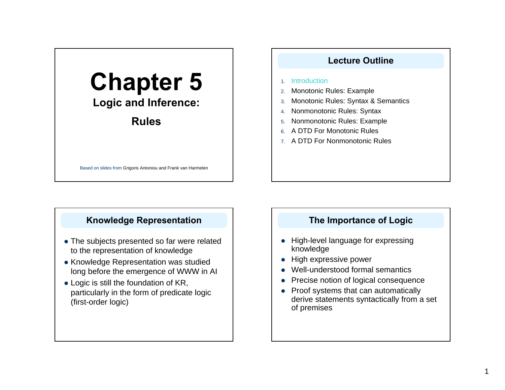# **Chapter 5**

**Logic and Inference:** 

**Rules**

Based on slides from Grigoris Antoniou and Frank van Harmelen

# **Lecture Outline**

#### 1. Introduction

- 2. Monotonic Rules: Example
- 3. Monotonic Rules: Syntax & Semantics
- 4. Nonmonotonic Rules: Syntax
- 5. Nonmonotonic Rules: Example
- 6. A DTD For Monotonic Rules
- 7. A DTD For Nonmonotonic Rules

# **Knowledge Representation**

- The subjects presented so far were related to the representation of knowledge
- Knowledge Representation was studied long before the emergence of WWW in AI
- Logic is still the foundation of KR, particularly in the form of predicate logic (first-order logic)

# **The Importance of Logic**

- High-level language for expressing knowledge
- High expressive power
- Well-understood formal semantics
- $\bullet$ Precise notion of logical consequence
- Proof systems that can automatically derive statements syntactically from a set of premises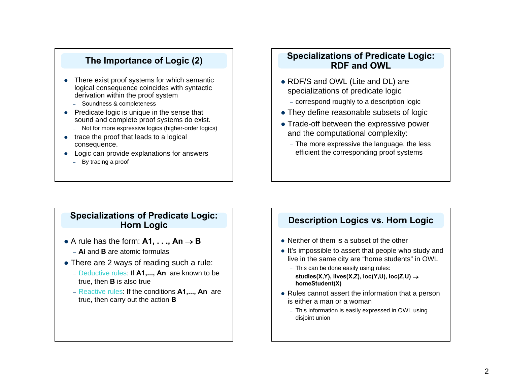# **The Importance of Logic (2)**

- $\bullet$  There exist proof systems for which semantic logical consequence coincides with syntactic derivation within the proof system
	- Soundness & completeness
- $\bullet$  Predicate logic is unique in the sense that sound and complete proof systems do exist.
	- Not for more expressive logics (higher-order logics)
- $\bullet$  trace the proof that leads to a logical consequence.
- Logic can provide explanations for answers
	- By tracing a proof

## **Specializations of Predicate Logic: RDF and OWL**

- RDF/S and OWL (Lite and DL) are specializations of predicate logic
	- correspond roughly to a description logic
- They define reasonable subsets of logic
- Trade-off between the expressive power and the computational complexity:
	- The more expressive the language, the less efficient the corresponding proof systems

## **Specializations of Predicate Logic: Horn Logic**

- A rule has the form:  $A1, \ldots, An \rightarrow B$ 
	- **Ai** and **B** are atomic formulas
- There are 2 ways of reading such a rule:
	- Deductive rules*:* If **A1,..., An** are known to be true, then **B** is also true
	- Reactive rules: If the conditions **A1,..., An** are true, then carry out the action **B**

# **Description Logics vs. Horn Logic**

- $\bullet$  Neither of them is a subset of the other
- It's impossible to assert that people who study and live in the same city are "home students" in OWL
	- This can be done easily using rules:

**studies(X,Y), lives(X,Z), loc(Y,U), loc(Z,U)** <sup>→</sup> **homeStudent(X)**

- $\bullet$  Rules cannot assert the information that a person is either a man or a woman
	- This information is easily expressed in OWL using disjoint union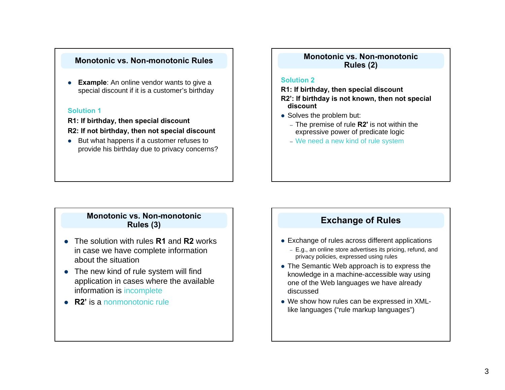#### **Monotonic vs. Non-monotonic Rules**

o **Example:** An online vendor wants to give a special discount if it is a customer's birthday

#### **Solution 1**

**R1: If birthday, then special discount R2: If not birthday, then not special discount**

• But what happens if a customer refuses to provide his birthday due to privacy concerns?

## **Monotonic vs. Non-monotonic Rules (2)**

#### **Solution 2**

**R1: If birthday, then special discount**

- **R2': If birthday is not known, then not special discount**
- Solves the problem but:
	- The premise of rule **R2'** is not within the expressive power of predicate logic
	- We need a new kind of rule system

## **Monotonic vs. Non-monotonic Rules (3)**

- The solution with rules **R1** and **R2** works in case we have complete information about the situation
- The new kind of rule system will find application in cases where the available information is incomplete
- **R2'** is a nonmonotonic rule

## **Exchange of Rules**

- $\bullet$  Exchange of rules across different applications
	- E.g., an online store advertises its pricing, refund, and privacy policies, expressed using rules
- The Semantic Web approach is to express the knowledge in a machine-accessible way using one of the Web languages we have already discussed
- We show how rules can be expressed in XMLlike languages ("rule markup languages")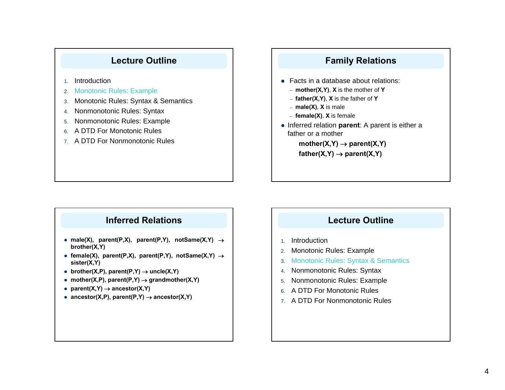# **Lecture Outline**

- 1. Introduction
- 2. Monotonic Rules: Example
- 3. Monotonic Rules: Syntax & Semantics
- 4.Nonmonotonic Rules: Syntax
- 5. Nonmonotonic Rules: Example
- 6. A DTD For Monotonic Rules
- 7. A DTD For Nonmonotonic Rules

## **Inferred Relations**

- male(X), parent(P,X), parent(P,Y), notSame(X,Y) → **brother(X,Y)**
- z **female(X), parent(P,X), parent(P,Y), notSame(X,Y)** <sup>→</sup> **sister(X,Y)**
- z **brother(X,P), parent(P,Y)** <sup>→</sup> **uncle(X,Y)**
- z **mother(X,P), parent(P,Y)** <sup>→</sup> **grandmother(X,Y)**
- z **parent(X,Y)** <sup>→</sup> **ancestor(X,Y)**
- z **ancestor(X,P), parent(P,Y)** <sup>→</sup> **ancestor(X,Y)**

# **Family Relations**

- $\bullet$  Facts in a database about relations:
	- **mother(X,Y)**, **X** is the mother of **Y**
	- **father(X,Y)**, **X** is the father of **Y**
	- **male(X)**, **X** is male
	- **female(X)**, **X** is female
- Inferred relation **parent**: A parent is either a father or a mother
	- $mother(X,Y) \rightarrow parent(X,Y)$  $father(X,Y) \rightarrow parent(X,Y)$

## **Lecture Outline**

- 1. Introduction
- 2. Monotonic Rules: Example
- 3. Monotonic Rules: Syntax & Semantics
- 4. Nonmonotonic Rules: Syntax
- 5. Nonmonotonic Rules: Example
- 6. A DTD For Monotonic Rules
- 7. A DTD For Nonmonotonic Rules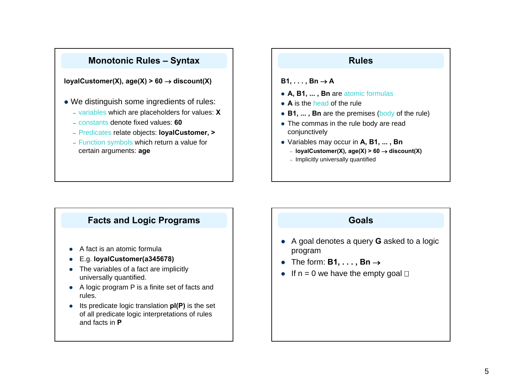# **Monotonic Rules – Syntax**

#### **loyalCustomer(X), age(X) > 60** <sup>→</sup> **discount(X)**

- We distinguish some ingredients of rules:
	- variables which are placeholders for values: **X**
	- constants denote fixed values: **60**
	- Predicates relate objects: **loyalCustomer, >**
	- Function symbols which return a value for certain arguments: **age**

# **Rules**

- **B1, . . . , Bn → A**
- z **A, B1, ... , Bn** are atomic formulas
- A is the head of the rule
- **B1, ..., Bn** are the premises (body of the rule)
- The commas in the rule body are read conjunctively
- z Variables may occur in **A, B1, ... , Bn**
	- **loyalCustomer(X), age(X) > 60** <sup>→</sup> **discount(X)**
	- Implicitly universally quantified

# **Facts and Logic Programs**

- o A fact is an atomic formula
- z E.g. **loyalCustomer(a345678)**
- $\bullet$  The variables of a fact are implicitly universally quantified.
- $\bullet$  A logic program P is a finite set of facts and rules.
- Its predicate logic translation **pl(P)** is the set of all predicate logic interpretations of rules and facts in **P**

## **Goals**

- A goal denotes a query **G** asked to a logic program
- z The form: **B1, . . . , Bn** <sup>→</sup>
- If  $n = 0$  we have the empty goal  $\square$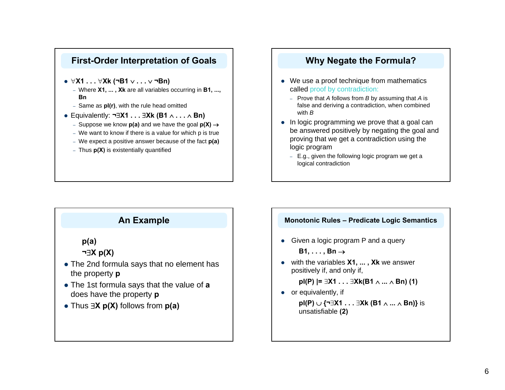

# **Why Negate the Formula?**

- We use a proof technique from mathematics called proof by contradiction:
	- Prove that *A* follows from *B* by assuming that *A* is false and deriving a contradiction, when combined with *B*
- $\bullet$  In logic programming we prove that a goal can be answered positively by negating the goal and proving that we get a contradiction using the logic program
	- E.g., given the following logic program we get a logical contradiction

# **An Example**

**p(a)**

## **<sup>¬</sup>**∃**X p(X)**

- The 2nd formula says that no element has the property **p**
- The 1st formula says that the value of **a** does have the property **p**
- z Thus ∃**X p(X)** follows from **p(a)**

### **Monotonic Rules – Predicate Logic Semantics**

• Given a logic program P and a query

**B1, . . . , Bn** <sup>→</sup>

• with the variables **X1, ..., Xk** we answer positively if, and only if,

**pl(P) |=** ∃**X1 . . .** ∃**Xk(B1** <sup>∧</sup> **...** <sup>∧</sup> **Bn) (1)**

 $\bullet$  or equivalently, if

**pl(P)** <sup>∪</sup> **{¬**∃**X1 . . .** ∃**Xk (B1** <sup>∧</sup> **...** <sup>∧</sup> **Bn)}** is unsatisfiable **(2)**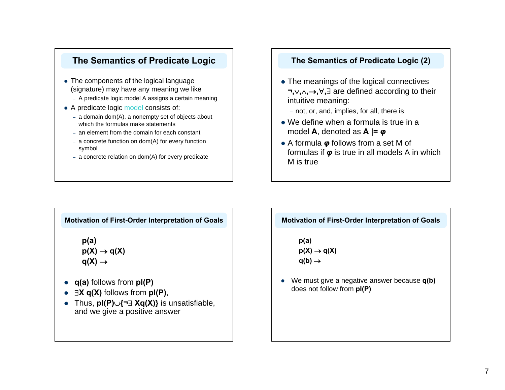# **The Semantics of Predicate Logic**

- The components of the logical language (signature) may have any meaning we like
	- A predicate logic model A assigns a certain meaning
- A predicate logic model consists of:
	- a domain dom(A), a nonempty set of objects about which the formulas make statements
	- an element from the domain for each constant
	- a concrete function on dom(A) for every function symbol
	- a concrete relation on dom(A) for every predicate

## **The Semantics of Predicate Logic (2)**

- The meanings of the logical connectives **¬,**<sup>∨</sup>**,**∧**,**→**,**∀**,**∃ are defined according to their intuitive meaning:
	- not, or, and, implies, for all, there is
- $\bullet$  We define when a formula is true in a model **A**, denoted as **A |=** *φ*
- A formula **φ** follows from a set M of formulas if *φ* is true in all models A in which M is true

**Motivation of First-Order Interpretation of Goals**

**p(a)**  $p(X) \rightarrow q(X)$  $q(X) \rightarrow$ 

- **• q(a)** follows from **pl(P)**
- z ∃**X q(X)** follows from **pl(P)**,
- z Thus, **pl(P)**∪**{¬**∃ **Xq(X)}** is unsatisfiable, and we give a positive answer

#### **Motivation of First-Order Interpretation of Goals**

- **p(a)**  $p(X) \rightarrow q(X)$  $q(b) \rightarrow$
- We must give a negative answer because **q(b)** does not follow from **pl(P)**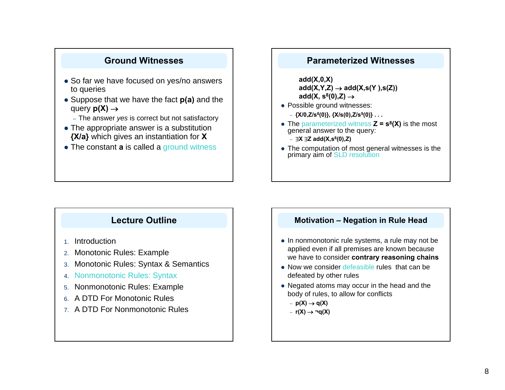# **Ground Witnesses**

- So far we have focused on yes/no answers to queries
- Suppose that we have the fact **p(a)** and the query  $p(X) \rightarrow$ 
	- The answer *yes* is correct but not satisfactory
- $\bullet$  The appropriate answer is a substitution **{X/a}** which gives an instantiation for **X**
- The constant **a** is called a ground witness

## **Parameterized Witnesses**

**add(X,0,X)**  $add(X,Y,Z) \rightarrow add(X,s(Y),s(Z))$ add(X,  $s^8(0),Z$ )  $\rightarrow$ 

- Possible ground witnesses:
	- **{X/0,Z/s8(0)}, {X/s(0),Z/s9(0)} . . .**
- The parameterized witness  $Z = s^8(X)$  is the most general answer to the query: – <sup>∃</sup>**X** ∃**Z add(X,s8(0),Z)**
- The computation of most general witnesses is the primary aim of SLD resolution

# **Lecture Outline**

- 1. Introduction
- 2. Monotonic Rules: Example
- 3. Monotonic Rules: Syntax & Semantics
- 4. Nonmonotonic Rules: Syntax
- 5. Nonmonotonic Rules: Example
- 6. A DTD For Monotonic Rules
- 7. A DTD For Nonmonotonic Rules

## **Motivation – Negation in Rule Head**

- $\bullet$  In nonmonotonic rule systems, a rule may not be applied even if all premises are known because we have to consider **contrary reasoning chains**
- Now we consider defeasible rules that can be defeated by other rules
- $\bullet$  Negated atoms may occur in the head and the body of rules, to allow for conflicts
	- **p(X)** <sup>→</sup> **q(X)**
	- **r(X)** <sup>→</sup> **¬q(X)**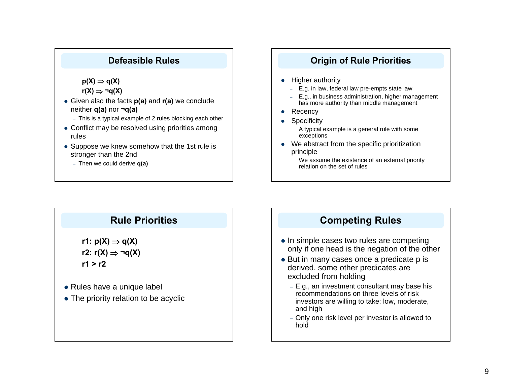# **Defeasible Rules**

 $p(X) \Rightarrow q(X)$ 

$$
r(X) \Rightarrow \neg q(X)
$$

- Given also the facts **p(a)** and **r(a)** we conclude neither **q(a)** nor **¬q(a)**
	- This is a typical example of 2 rules blocking each other
- Conflict may be resolved using priorities among rules
- Suppose we knew somehow that the 1st rule is stronger than the 2nd
	- Then we could derive **q(a)**

# **Origin of Rule Priorities**

- Higher authority
	- E.g. in law, federal law pre-empts state law
	- E.g., in business administration, higher management has more authority than middle management
- $\bullet$  Recency
- o **Specificity** 
	- A typical example is a general rule with some exceptions
- $\bullet$  We abstract from the specific prioritization principle
	- – We assume the existence of an external priority relation on the set of rules

# **Rule Priorities**

 $r1: p(X) \Rightarrow q(X)$ **r2: r(X)** <sup>⇒</sup> **¬q(X) r1 > r2**

- $\bullet$  Rules have a unique label
- $\bullet$  The priority relation to be acyclic

# **Competing Rules**

- In simple cases two rules are competing only if one head is the negation of the other
- But in many cases once a predicate p is derived, some other predicates are excluded from holding
	- E.g., an investment consultant may base his recommendations on three levels of risk investors are willing to take: low, moderate, and high
	- Only one risk level per investor is allowed to hold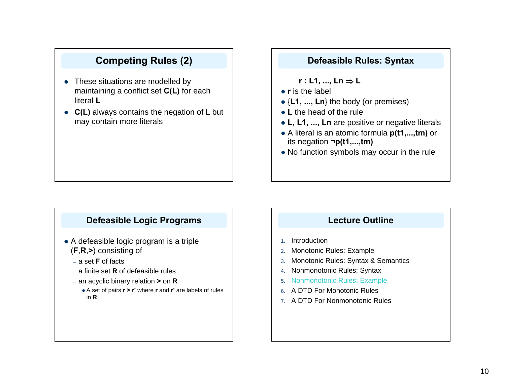# **Competing Rules (2)**

- These situations are modelled by maintaining a conflict set **C(L)** for each literal **L**
- **C(L)** always contains the negation of L but may contain more literals

## **Defeasible Rules: Syntax**

- **r : L1, ..., Ln** <sup>⇒</sup> **L**
- **r** is the label
- {**L1, ..., Ln**} the body (or premises)
- L the head of the rule
- **L, L1, ..., Ln** are positive or negative literals
- A literal is an atomic formula **p(t1,...,tm)** or its negation **¬p(t1,...,tm)**
- No function symbols may occur in the rule

# **Defeasible Logic Programs**

- $\bullet$  A defeasible logic program is a triple (**F**,**R**,**<sup>&</sup>gt;**) consisting of
	- a set **F** of facts
	- a finite set **R** of defeasible rules
	- an acyclic binary relation **<sup>&</sup>gt;** on **R**
		- A set of pairs **r > r'** where **r** and **r'** are labels of rules in **R**

# **Lecture Outline**

- 1. Introduction
- 2. Monotonic Rules: Example
- 3. Monotonic Rules: Syntax & Semantics
- 4. Nonmonotonic Rules: Syntax
- 5. Nonmonotonic Rules: Example
- 6. A DTD For Monotonic Rules
- 7. A DTD For Nonmonotonic Rules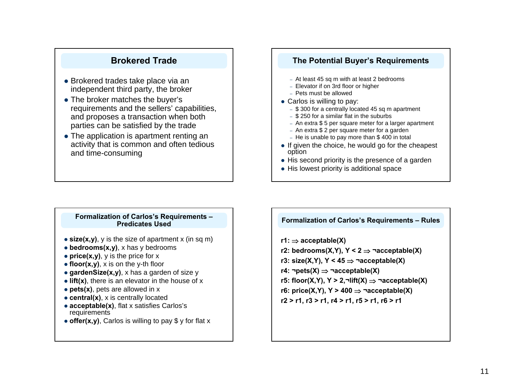# **Brokered Trade**

- Brokered trades take place via an independent third party, the broker
- The broker matches the buyer's requirements and the sellers' capabilities, and proposes a transaction when both parties can be satisfied by the trade
- The application is apartment renting an activity that is common and often tedious and time-consuming

## **The Potential Buyer's Requirements**

- At least 45 sq m with at least 2 bedrooms
- Elevator if on 3rd floor or higher
- Pets must be allowed
- Carlos is willing to pay:
	- \$ 300 for a centrally located 45 sq m apartment
	- \$ 250 for a similar flat in the suburbs
	- An extra \$ 5 per square meter for a larger apartment
	- An extra \$ 2 per square meter for a garden – He is unable to pay more than \$ 400 in total
- $\bullet$  If given the choice, he would go for the cheapest option
- $\bullet$  His second priority is the presence of a garden
- $\bullet$  His lowest priority is additional space

#### **Formalization of Carlos's Requirements – Predicates Used**

- size(x,y), y is the size of apartment x (in sq m)
- bedrooms(x,y), x has y bedrooms
- **price(x,y)**, y is the price for x
- **floor(x,y)**, x is on the y-th floor
- **gardenSize(x,y)**, x has a garden of size y
- **lift(x)**, there is an elevator in the house of x
- pets(x), pets are allowed in x
- **central(x)**, x is centrally located
- **acceptable(x)**, flat x satisfies Carlos's requirements
- **offer(x,y)**, Carlos is willing to pay \$ y for flat x

#### **Formalization of Carlos's Requirements – Rules**

**r1:** ⇒ **acceptable(X) r2: bedrooms(X,Y), Y < 2** <sup>⇒</sup> **¬acceptable(X) r3: size(X,Y), Y < 45** <sup>⇒</sup> **¬acceptable(X) r4: ¬pets(X)** <sup>⇒</sup> **¬acceptable(X) r5: floor(X,Y), Y > 2,¬lift(X)** <sup>⇒</sup> **¬acceptable(X) r6: price(X,Y), Y > 400** <sup>⇒</sup> **¬acceptable(X) r2 > r1, r3 > r1, r4 > r1, r5 > r1, r6 > r1**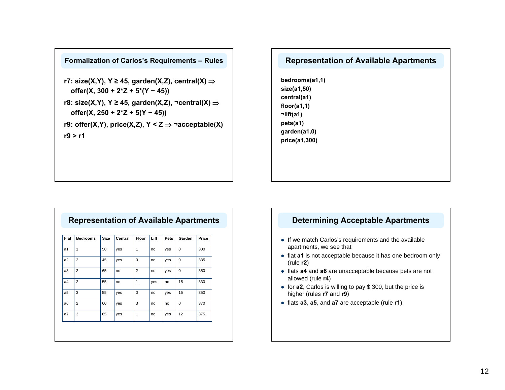#### **Formalization of Carlos's Requirements – Rules**

- **r7: size(X,Y), Y ≥ 45, garden(X,Z), central(X)** <sup>⇒</sup> **offer(X, 300 + 2\*Z + 5\*(Y − 45))**
- **r8: size(X,Y), Y ≥ 45, garden(X,Z), ¬central(X)** <sup>⇒</sup> **offer(X, 250 + 2\*Z + 5(Y − 45))**

r9: offer(X,Y), price(X,Z),  $Y < Z \Rightarrow \exists$  **acceptable(X) r9 > r1**

# **Representation of Available Apartments**

**bedrooms(a1,1) size(a1,50) central(a1) floor(a1,1) ¬lift(a1) pets(a1) garden(a1,0) price(a1,300)**

#### **Representation of Available Apartments** a7 3 65 yes 1 no yes 12 375 a6 2 60 yes 3 no no 0 370 a5 3 55 yes 0 no yes 15 350  $\overline{a4}$  2 55 no 1 yes no 15 330 a3 2 65 no 2 no yes 0 350 a2 2 45 yes 0 no yes 0 335 a1 1 50 yes 1 no yes 0 300 **Flat Bedrooms Size Central Floor Lift Pets GardenPrice**

## **Determining Acceptable Apartments**

- $\bullet$  If we match Carlos's requirements and the available apartments, we see that
- flat **a1** is not acceptable because it has one bedroom only (rule **r2**)
- flats **a4** and **a6** are unacceptable because pets are not allowed (rule **r4**)
- for **a2**, Carlos is willing to pay \$ 300, but the price is higher (rules **r7** and **r9**)
- z flats **a3**, **a5**, and **a7** are acceptable (rule **r1**)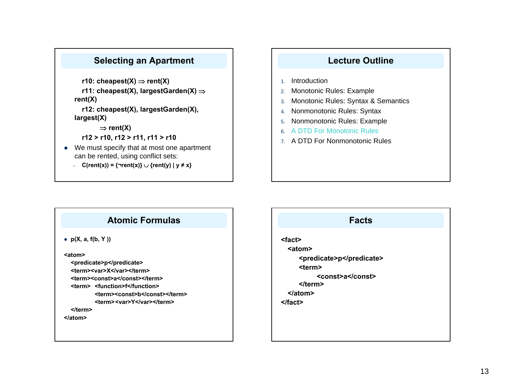# **Selecting an Apartment**

```
r10: cheapest(X) \Rightarrow rent(X)
  r11: cheapest(X), largestGarden(X) ⇒
rent(X)
  r12: cheapest(X), largestGarden(X), 
largest(X)
```
⇒ **rent(X)**

```
r12 > r10, r12 > r11, r11 > r10
```
- $\bullet$  We must specify that at most one apartment can be rented, using conflict sets:
	- **C(rent(x)) = {¬rent(x)}** <sup>∪</sup> **{rent(y) | y ≠ x}**

# **Lecture Outline**

- 1. Introduction
- 2. Monotonic Rules: Example
- 3. Monotonic Rules: Syntax & Semantics
- 4. Nonmonotonic Rules: Syntax
- 5. Nonmonotonic Rules: Example
- 6. A DTD For Monotonic Rules
- 7. A DTD For Nonmonotonic Rules

# **Atomic Formulas**

● p(X, a, f(b, Y ))

**<atom>**

**<predicate>p</predicate>** <term><var>X</var></term> **<term><const>a</const></term><term> <function>f</function><term><const>b</const></term>**<term><var>Y</var></term> **</term>**

**</atom>**

## **Facts**

#### **<fact>**

**<atom>**

**<predicate>p</predicate>**

```
<term>
```
**<const>a</const>**

**</term>**

**</atom>**

**</fact>**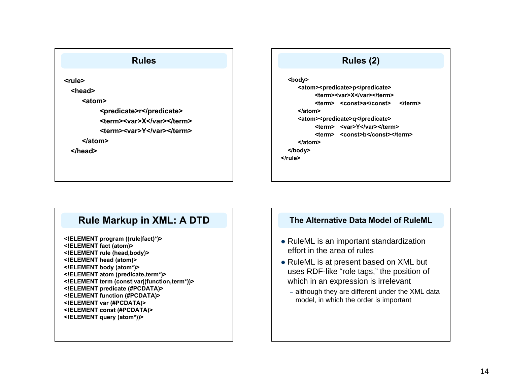| <b>Rules</b>              |
|---------------------------|
| <rule></rule>             |
| <head></head>             |
| <atom></atom>             |
| <predicate>r</predicate>  |
| <term><var>X</var></term> |
| <term><var>Y</var></term> |
| $<$ /atom>                |
| $<$ /head>                |
|                           |
|                           |

# **Rules (2)**

**<body> <atom><predicate>p</predicate> <term><var>X</var></term> <term> <const>a</const> </term></atom><atom><predicate>q</predicate> <term> <var>Y</var></term><term> <const>b</const></term></atom></body> </rule>**

# **Rule Markup in XML: A DTD**

**<!ELEMENT program ((rule|fact)\*)> <!ELEMENT fact (atom)> <!ELEMENT rule (head,body)> <!ELEMENT head (atom)> <!ELEMENT body (atom\*)> <!ELEMENT atom (predicate,term\*)> <!ELEMENT term (const|var|(function,term\*))> <!ELEMENT predicate (#PCDATA)> <!ELEMENT function (#PCDATA)> <!ELEMENT var (#PCDATA)> <!ELEMENT const (#PCDATA)> <!ELEMENT query (atom\*))>**

## **The Alternative Data Model of RuleML**

- $\bullet$  RuleML is an important standardization effort in the area of rules
- RuleML is at present based on XML but uses RDF-like "role tags," the position of which in an expression is irrelevant
	- although they are different under the XML data model, in which the order is important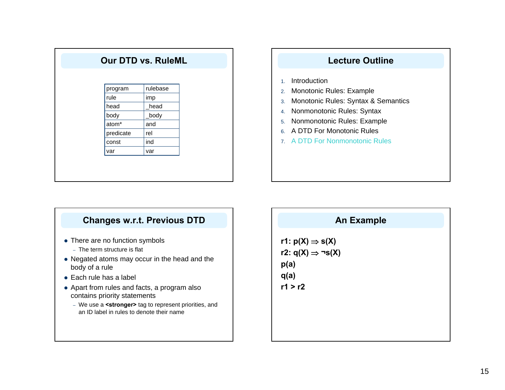| <b>Our DTD vs. RuleML</b> |          |  |
|---------------------------|----------|--|
|                           |          |  |
| program                   | rulebase |  |
| rule                      | imp      |  |
| head                      | head     |  |
| body                      | body     |  |
| atom*                     | and      |  |
| predicate                 | rel      |  |
| const                     | ind      |  |
| var                       | var      |  |

# **Lecture Outline**

- 1. Introduction
- 2. Monotonic Rules: Example
- 3. Monotonic Rules: Syntax & Semantics
- 4. Nonmonotonic Rules: Syntax
- 5. Nonmonotonic Rules: Example
- 6. A DTD For Monotonic Rules
- 7. A DTD For Nonmonotonic Rules

# **Changes w.r.t. Previous DTD**

- There are no function symbols
	- The term structure is flat
- $\bullet$  Negated atoms may occur in the head and the body of a rule
- $\bullet\,$  Each rule has a label
- Apart from rules and facts, a program also contains priority statements
	- We use a **<stronger>** tag to represent priorities, and an ID label in rules to denote their name

# **An Example**

r1:  $p(X) \Rightarrow s(X)$ **r2: q(X)** <sup>⇒</sup> **¬s(X) p(a) q(a) r1 > r2**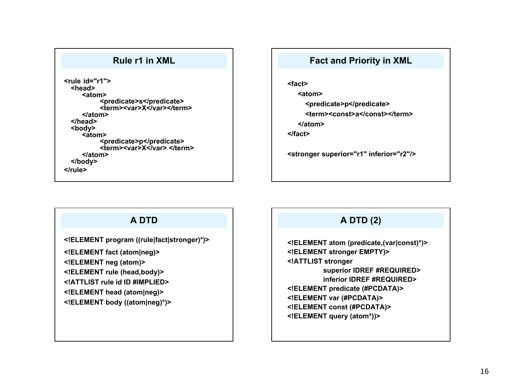# **Rule r1 in XML**

**<rule id="r1"><head><atom> <predicate>s</predicate> <term><var>X</var></term></atom></head> <body> <atom> <predicate>p</predicate> <term><var>X</var> </term></atom></body> </rule>**

# **Fact and Priority in XML**

**<fact><atom><predicate>p</predicate> <term><const>a</const></term>**

**</atom>**

**</fact>**

**<stronger superior="r1" inferior="r2"/>**

# **A DTD**

**<!ELEMENT program ((rule|fact|stronger)\*)>**

**<!ELEMENT fact (atom|neg)> <!ELEMENT neg (atom)> <!ELEMENT rule (head,body)> <!ATTLIST rule id ID #IMPLIED><!ELEMENT head (atom|neg)> <!ELEMENT body ((atom|neg)\*)>**

# **A DTD (2)**

**<!ELEMENT atom (predicate,(var|const)\*)> <!ELEMENT stronger EMPTY)> <!ATTLIST stronger superior IDREF #REQUIRED> inferior IDREF #REQUIRED> <!ELEMENT predicate (#PCDATA)> <!ELEMENT var (#PCDATA)> <!ELEMENT const (#PCDATA)> <!ELEMENT query (atom\*))>**